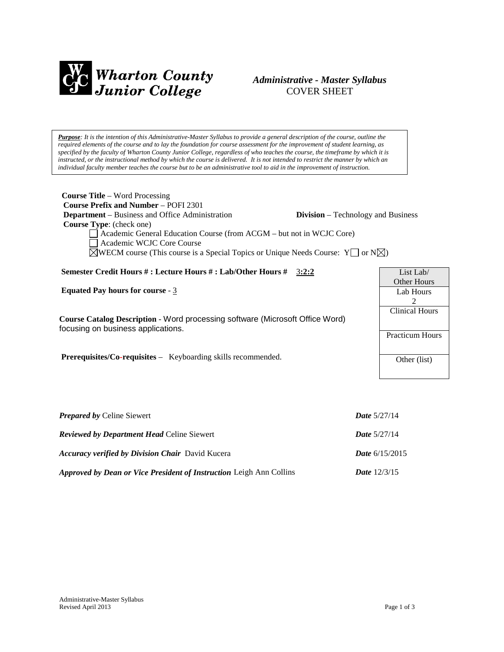

# *Administrative - Master Syllabus*  COVER SHEET

*Purpose: It is the intention of this Administrative-Master Syllabus to provide a general description of the course, outline the required elements of the course and to lay the foundation for course assessment for the improvement of student learning, as specified by the faculty of Wharton County Junior College, regardless of who teaches the course, the timeframe by which it is instructed, or the instructional method by which the course is delivered. It is not intended to restrict the manner by which an individual faculty member teaches the course but to be an administrative tool to aid in the improvement of instruction.*

| <b>Course Title</b> – Word Processing<br><b>Course Prefix and Number – POFI 2301</b><br><b>Department</b> – Business and Office Administration<br><b>Division</b> – Technology and Business<br><b>Course Type:</b> (check one)<br>Academic General Education Course (from ACGM – but not in WCJC Core)<br>Academic WCJC Core Course<br>$\boxtimes$ WECM course (This course is a Special Topics or Unique Needs Course: Y $\Box$ or N $\boxtimes$ ) |                        |
|-----------------------------------------------------------------------------------------------------------------------------------------------------------------------------------------------------------------------------------------------------------------------------------------------------------------------------------------------------------------------------------------------------------------------------------------------------|------------------------|
| Semester Credit Hours #: Lecture Hours #: Lab/Other Hours # 3:2:2                                                                                                                                                                                                                                                                                                                                                                                   | List Lab/              |
|                                                                                                                                                                                                                                                                                                                                                                                                                                                     | Other Hours            |
| Equated Pay hours for course $-3$                                                                                                                                                                                                                                                                                                                                                                                                                   | Lab Hours              |
|                                                                                                                                                                                                                                                                                                                                                                                                                                                     | 2                      |
| Course Catalog Description - Word processing software (Microsoft Office Word)                                                                                                                                                                                                                                                                                                                                                                       | <b>Clinical Hours</b>  |
| focusing on business applications.                                                                                                                                                                                                                                                                                                                                                                                                                  |                        |
|                                                                                                                                                                                                                                                                                                                                                                                                                                                     | <b>Practicum Hours</b> |
|                                                                                                                                                                                                                                                                                                                                                                                                                                                     |                        |
| <b>Prerequisites/Co-requisites -</b> Keyboarding skills recommended.                                                                                                                                                                                                                                                                                                                                                                                | Other (list)           |
|                                                                                                                                                                                                                                                                                                                                                                                                                                                     |                        |
|                                                                                                                                                                                                                                                                                                                                                                                                                                                     |                        |
|                                                                                                                                                                                                                                                                                                                                                                                                                                                     |                        |
|                                                                                                                                                                                                                                                                                                                                                                                                                                                     |                        |

| <b>Prepared by Celine Siewert</b>                                          | <b>Date</b> $5/27/14$   |
|----------------------------------------------------------------------------|-------------------------|
| <b>Reviewed by Department Head Celine Siewert</b>                          | <b>Date</b> $5/27/14$   |
| <b>Accuracy verified by Division Chair</b> David Kucera                    | <b>Date</b> $6/15/2015$ |
| <b>Approved by Dean or Vice President of Instruction Leigh Ann Collins</b> | <b>Date</b> $12/3/15$   |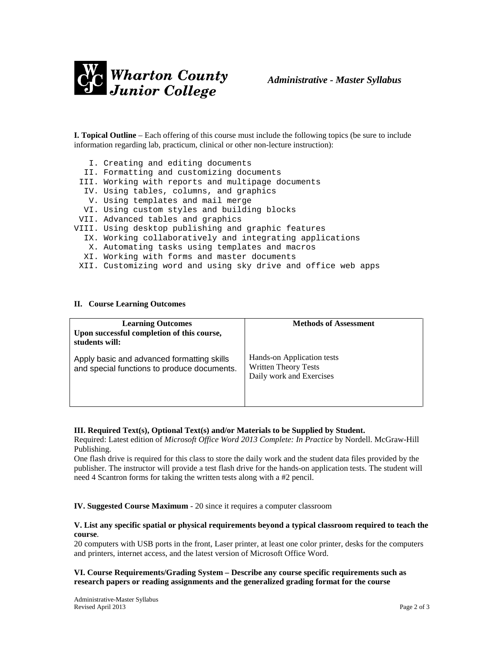

**I. Topical Outline** – Each offering of this course must include the following topics (be sure to include information regarding lab, practicum, clinical or other non-lecture instruction):

- I. Creating and editing documents
- II. Formatting and customizing documents
- III. Working with reports and multipage documents
- IV. Using tables, columns, and graphics
- V. Using templates and mail merge
- VI. Using custom styles and building blocks
- VII. Advanced tables and graphics
- VIII. Using desktop publishing and graphic features
	- IX. Working collaboratively and integrating applications
	- X. Automating tasks using templates and macros
	- XI. Working with forms and master documents
- XII. Customizing word and using sky drive and office web apps

#### **II. Course Learning Outcomes**

| <b>Learning Outcomes</b><br>Upon successful completion of this course,<br>students will:  | <b>Methods of Assessment</b>                                                          |
|-------------------------------------------------------------------------------------------|---------------------------------------------------------------------------------------|
| Apply basic and advanced formatting skills<br>and special functions to produce documents. | Hands-on Application tests<br><b>Written Theory Tests</b><br>Daily work and Exercises |

#### **III. Required Text(s), Optional Text(s) and/or Materials to be Supplied by Student.**

Required: Latest edition of *Microsoft Office Word 2013 Complete: In Practice* by Nordell. McGraw-Hill Publishing.

One flash drive is required for this class to store the daily work and the student data files provided by the publisher. The instructor will provide a test flash drive for the hands-on application tests. The student will need 4 Scantron forms for taking the written tests along with a #2 pencil.

**IV. Suggested Course Maximum** - 20 since it requires a computer classroom

## **V. List any specific spatial or physical requirements beyond a typical classroom required to teach the course**.

20 computers with USB ports in the front, Laser printer, at least one color printer, desks for the computers and printers, internet access, and the latest version of Microsoft Office Word.

## **VI. Course Requirements/Grading System – Describe any course specific requirements such as research papers or reading assignments and the generalized grading format for the course**